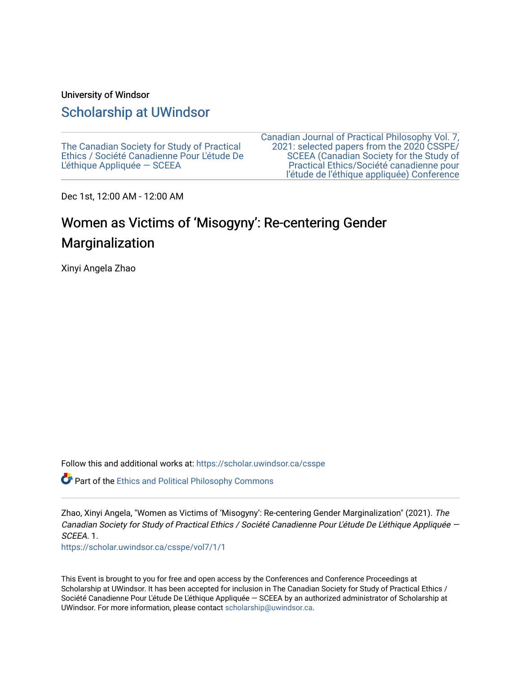#### University of Windsor

# [Scholarship at UWindsor](https://scholar.uwindsor.ca/)

[The Canadian Society for Study of Practical](https://scholar.uwindsor.ca/csspe) [Ethics / Société Canadienne Pour L'étude De](https://scholar.uwindsor.ca/csspe) [L'éthique Appliquée — SCEEA](https://scholar.uwindsor.ca/csspe) 

[Canadian Journal of Practical Philosophy Vol. 7,](https://scholar.uwindsor.ca/csspe/vol7)  [2021: selected papers from the 2020 CSSPE/](https://scholar.uwindsor.ca/csspe/vol7) [SCEEA \(Canadian Society for the Study of](https://scholar.uwindsor.ca/csspe/vol7)  [Practical Ethics/Société canadienne pour](https://scholar.uwindsor.ca/csspe/vol7)  [l'étude de l'éthique appliquée\) Conference](https://scholar.uwindsor.ca/csspe/vol7) 

Dec 1st, 12:00 AM - 12:00 AM

# Women as Victims of 'Misogyny': Re-centering Gender Marginalization

Xinyi Angela Zhao

Follow this and additional works at: [https://scholar.uwindsor.ca/csspe](https://scholar.uwindsor.ca/csspe?utm_source=scholar.uwindsor.ca%2Fcsspe%2Fvol7%2F1%2F1&utm_medium=PDF&utm_campaign=PDFCoverPages)

Part of the [Ethics and Political Philosophy Commons](http://network.bepress.com/hgg/discipline/529?utm_source=scholar.uwindsor.ca%2Fcsspe%2Fvol7%2F1%2F1&utm_medium=PDF&utm_campaign=PDFCoverPages) 

Zhao, Xinyi Angela, "Women as Victims of 'Misogyny': Re-centering Gender Marginalization" (2021). The Canadian Society for Study of Practical Ethics / Société Canadienne Pour L'étude De L'éthique Appliquée — SCEEA<sub>1</sub>

[https://scholar.uwindsor.ca/csspe/vol7/1/1](https://scholar.uwindsor.ca/csspe/vol7/1/1?utm_source=scholar.uwindsor.ca%2Fcsspe%2Fvol7%2F1%2F1&utm_medium=PDF&utm_campaign=PDFCoverPages) 

This Event is brought to you for free and open access by the Conferences and Conference Proceedings at Scholarship at UWindsor. It has been accepted for inclusion in The Canadian Society for Study of Practical Ethics / Société Canadienne Pour L'étude De L'éthique Appliquée — SCEEA by an authorized administrator of Scholarship at UWindsor. For more information, please contact [scholarship@uwindsor.ca](mailto:scholarship@uwindsor.ca).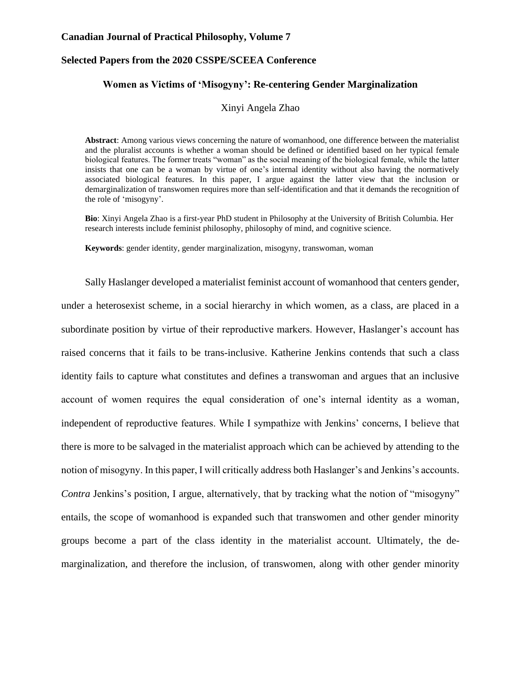#### **Canadian Journal of Practical Philosophy, Volume 7**

#### **Selected Papers from the 2020 CSSPE/SCEEA Conference**

#### **Women as Victims of 'Misogyny': Re-centering Gender Marginalization**

Xinyi Angela Zhao

**Abstract**: Among various views concerning the nature of womanhood, one difference between the materialist and the pluralist accounts is whether a woman should be defined or identified based on her typical female biological features. The former treats "woman" as the social meaning of the biological female, while the latter insists that one can be a woman by virtue of one's internal identity without also having the normatively associated biological features. In this paper, I argue against the latter view that the inclusion or demarginalization of transwomen requires more than self-identification and that it demands the recognition of the role of 'misogyny'.

**Bio**: Xinyi Angela Zhao is a first-year PhD student in Philosophy at the University of British Columbia. Her research interests include feminist philosophy, philosophy of mind, and cognitive science.

**Keywords**: gender identity, gender marginalization, misogyny, transwoman, woman

Sally Haslanger developed a materialist feminist account of womanhood that centers gender, under a heterosexist scheme, in a social hierarchy in which women, as a class, are placed in a subordinate position by virtue of their reproductive markers. However, Haslanger's account has raised concerns that it fails to be trans-inclusive. Katherine Jenkins contends that such a class identity fails to capture what constitutes and defines a transwoman and argues that an inclusive account of women requires the equal consideration of one's internal identity as a woman, independent of reproductive features. While I sympathize with Jenkins' concerns, I believe that there is more to be salvaged in the materialist approach which can be achieved by attending to the notion of misogyny. In this paper, I will critically address both Haslanger's and Jenkins's accounts. *Contra* Jenkins's position, I argue, alternatively, that by tracking what the notion of "misogyny" entails, the scope of womanhood is expanded such that transwomen and other gender minority groups become a part of the class identity in the materialist account. Ultimately, the demarginalization, and therefore the inclusion, of transwomen, along with other gender minority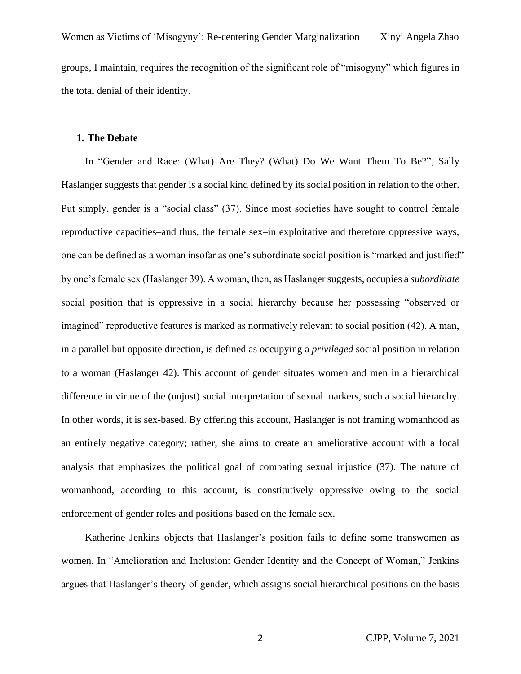Women as Victims of 'Misogyny': Re-centering Gender Marginalization Xinyi Angela Zhao groups, I maintain, requires the recognition of the significant role of "misogyny" which figures in the total denial of their identity.

#### **1. The Debate**

In "Gender and Race: (What) Are They? (What) Do We Want Them To Be?", Sally Haslanger suggests that gender is a social kind defined by its social position in relation to the other. Put simply, gender is a "social class" (37). Since most societies have sought to control female reproductive capacities–and thus, the female sex–in exploitative and therefore oppressive ways, one can be defined as a woman insofar as one's subordinate social position is "marked and justified" by one's female sex (Haslanger 39). A woman, then, as Haslanger suggests, occupies a *subordinate*  social position that is oppressive in a social hierarchy because her possessing "observed or imagined" reproductive features is marked as normatively relevant to social position (42). A man, in a parallel but opposite direction, is defined as occupying a *privileged* social position in relation to a woman (Haslanger 42). This account of gender situates women and men in a hierarchical difference in virtue of the (unjust) social interpretation of sexual markers, such a social hierarchy. In other words, it is sex-based. By offering this account, Haslanger is not framing womanhood as an entirely negative category; rather, she aims to create an ameliorative account with a focal analysis that emphasizes the political goal of combating sexual injustice (37). The nature of womanhood, according to this account, is constitutively oppressive owing to the social enforcement of gender roles and positions based on the female sex.

Katherine Jenkins objects that Haslanger's position fails to define some transwomen as women. In "Amelioration and Inclusion: Gender Identity and the Concept of Woman," Jenkins argues that Haslanger's theory of gender, which assigns social hierarchical positions on the basis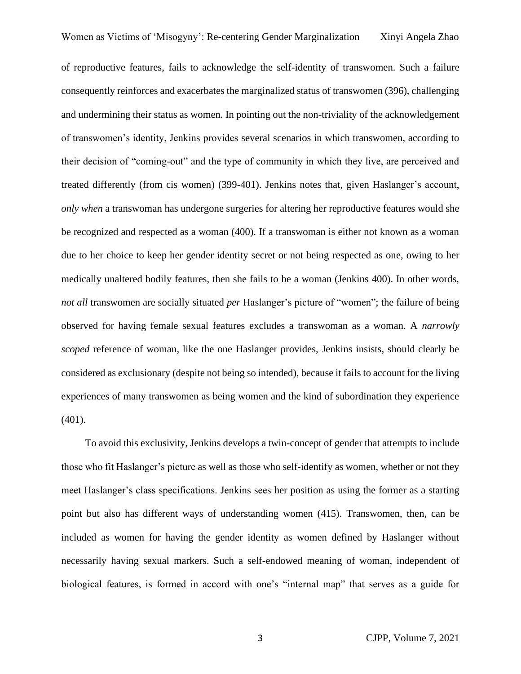of reproductive features, fails to acknowledge the self-identity of transwomen. Such a failure consequently reinforces and exacerbates the marginalized status of transwomen (396), challenging and undermining their status as women. In pointing out the non-triviality of the acknowledgement of transwomen's identity, Jenkins provides several scenarios in which transwomen, according to their decision of "coming-out" and the type of community in which they live, are perceived and treated differently (from cis women) (399-401). Jenkins notes that, given Haslanger's account, *only when* a transwoman has undergone surgeries for altering her reproductive features would she be recognized and respected as a woman (400). If a transwoman is either not known as a woman due to her choice to keep her gender identity secret or not being respected as one, owing to her medically unaltered bodily features, then she fails to be a woman (Jenkins 400). In other words, *not all* transwomen are socially situated *per* Haslanger's picture of "women"; the failure of being observed for having female sexual features excludes a transwoman as a woman. A *narrowly scoped* reference of woman, like the one Haslanger provides, Jenkins insists, should clearly be considered as exclusionary (despite not being so intended), because it fails to account for the living experiences of many transwomen as being women and the kind of subordination they experience (401).

To avoid this exclusivity, Jenkins develops a twin-concept of gender that attempts to include those who fit Haslanger's picture as well as those who self-identify as women, whether or not they meet Haslanger's class specifications. Jenkins sees her position as using the former as a starting point but also has different ways of understanding women (415). Transwomen, then, can be included as women for having the gender identity as women defined by Haslanger without necessarily having sexual markers. Such a self-endowed meaning of woman, independent of biological features, is formed in accord with one's "internal map" that serves as a guide for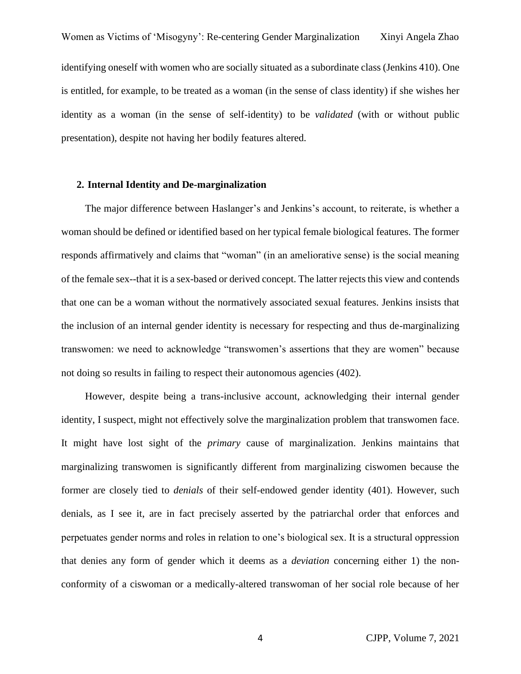identifying oneself with women who are socially situated as a subordinate class (Jenkins 410). One is entitled, for example, to be treated as a woman (in the sense of class identity) if she wishes her identity as a woman (in the sense of self-identity) to be *validated* (with or without public presentation), despite not having her bodily features altered.

#### **2. Internal Identity and De-marginalization**

The major difference between Haslanger's and Jenkins's account, to reiterate, is whether a woman should be defined or identified based on her typical female biological features. The former responds affirmatively and claims that "woman" (in an ameliorative sense) is the social meaning of the female sex--that it is a sex-based or derived concept. The latter rejects this view and contends that one can be a woman without the normatively associated sexual features. Jenkins insists that the inclusion of an internal gender identity is necessary for respecting and thus de-marginalizing transwomen: we need to acknowledge "transwomen's assertions that they are women" because not doing so results in failing to respect their autonomous agencies (402).

However, despite being a trans-inclusive account, acknowledging their internal gender identity, I suspect, might not effectively solve the marginalization problem that transwomen face. It might have lost sight of the *primary* cause of marginalization. Jenkins maintains that marginalizing transwomen is significantly different from marginalizing ciswomen because the former are closely tied to *denials* of their self-endowed gender identity (401). However, such denials, as I see it, are in fact precisely asserted by the patriarchal order that enforces and perpetuates gender norms and roles in relation to one's biological sex. It is a structural oppression that denies any form of gender which it deems as a *deviation* concerning either 1) the nonconformity of a ciswoman or a medically-altered transwoman of her social role because of her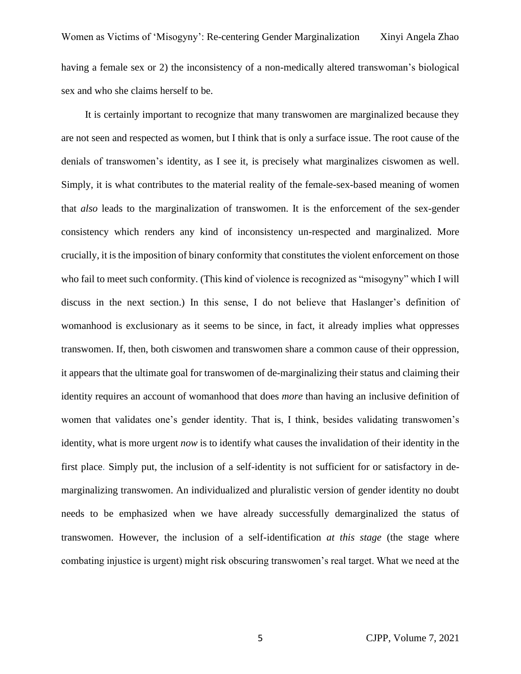It is certainly important to recognize that many transwomen are marginalized because they are not seen and respected as women, but I think that is only a surface issue. The root cause of the denials of transwomen's identity, as I see it, is precisely what marginalizes ciswomen as well. Simply, it is what contributes to the material reality of the female-sex-based meaning of women that *also* leads to the marginalization of transwomen. It is the enforcement of the sex-gender consistency which renders any kind of inconsistency un-respected and marginalized. More crucially, it is the imposition of binary conformity that constitutes the violent enforcement on those who fail to meet such conformity. (This kind of violence is recognized as "misogyny" which I will discuss in the next section.) In this sense, I do not believe that Haslanger's definition of womanhood is exclusionary as it seems to be since, in fact, it already implies what oppresses transwomen. If, then, both ciswomen and transwomen share a common cause of their oppression, it appears that the ultimate goal for transwomen of de-marginalizing their status and claiming their identity requires an account of womanhood that does *more* than having an inclusive definition of women that validates one's gender identity. That is, I think, besides validating transwomen's identity, what is more urgent *now* is to identify what causes the invalidation of their identity in the first place. Simply put, the inclusion of a self-identity is not sufficient for or satisfactory in demarginalizing transwomen. An individualized and pluralistic version of gender identity no doubt needs to be emphasized when we have already successfully demarginalized the status of transwomen. However, the inclusion of a self-identification *at this stage* (the stage where combating injustice is urgent) might risk obscuring transwomen's real target. What we need at the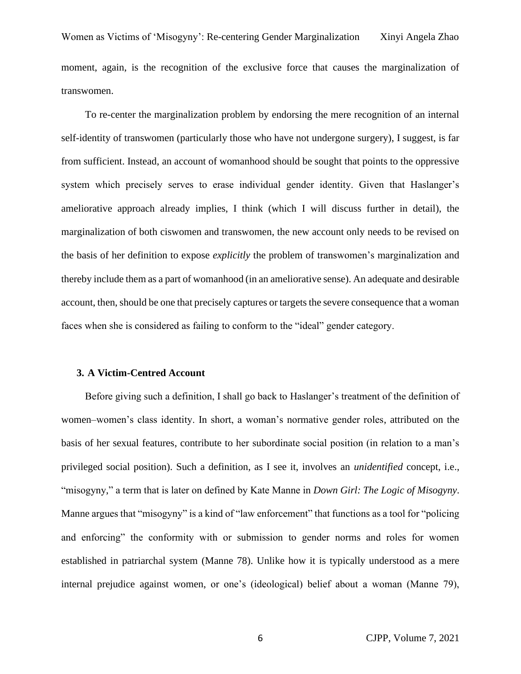Women as Victims of 'Misogyny': Re-centering Gender Marginalization Xinyi Angela Zhao moment, again, is the recognition of the exclusive force that causes the marginalization of transwomen.

To re-center the marginalization problem by endorsing the mere recognition of an internal self-identity of transwomen (particularly those who have not undergone surgery), I suggest, is far from sufficient. Instead, an account of womanhood should be sought that points to the oppressive system which precisely serves to erase individual gender identity. Given that Haslanger's ameliorative approach already implies, I think (which I will discuss further in detail), the marginalization of both ciswomen and transwomen, the new account only needs to be revised on the basis of her definition to expose *explicitly* the problem of transwomen's marginalization and thereby include them as a part of womanhood (in an ameliorative sense). An adequate and desirable account, then, should be one that precisely captures or targets the severe consequence that a woman faces when she is considered as failing to conform to the "ideal" gender category.

#### **3. A Victim-Centred Account**

Before giving such a definition, I shall go back to Haslanger's treatment of the definition of women–women's class identity. In short, a woman's normative gender roles, attributed on the basis of her sexual features, contribute to her subordinate social position (in relation to a man's privileged social position). Such a definition, as I see it, involves an *unidentified* concept, i.e., "misogyny," a term that is later on defined by Kate Manne in *Down Girl: The Logic of Misogyny*. Manne argues that "misogyny" is a kind of "law enforcement" that functions as a tool for "policing and enforcing" the conformity with or submission to gender norms and roles for women established in patriarchal system (Manne 78). Unlike how it is typically understood as a mere internal prejudice against women, or one's (ideological) belief about a woman (Manne 79),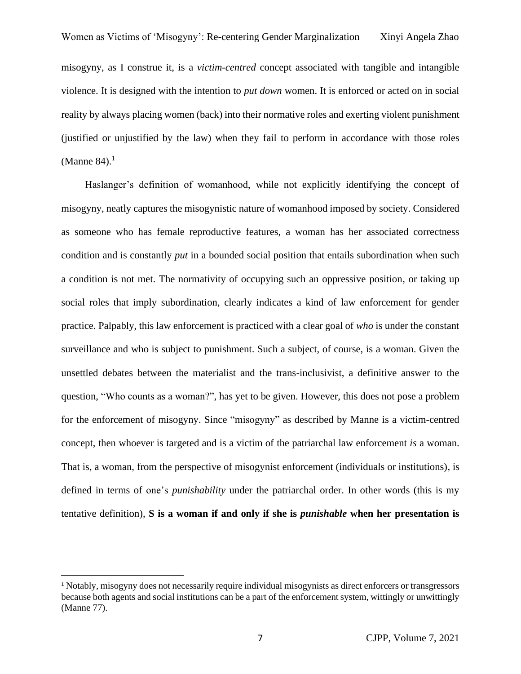misogyny, as I construe it, is a *victim-centred* concept associated with tangible and intangible violence. It is designed with the intention to *put down* women. It is enforced or acted on in social reality by always placing women (back) into their normative roles and exerting violent punishment (justified or unjustified by the law) when they fail to perform in accordance with those roles (Manne 84).<sup>1</sup>

Haslanger's definition of womanhood, while not explicitly identifying the concept of misogyny, neatly captures the misogynistic nature of womanhood imposed by society. Considered as someone who has female reproductive features, a woman has her associated correctness condition and is constantly *put* in a bounded social position that entails subordination when such a condition is not met. The normativity of occupying such an oppressive position, or taking up social roles that imply subordination, clearly indicates a kind of law enforcement for gender practice. Palpably, this law enforcement is practiced with a clear goal of *who* is under the constant surveillance and who is subject to punishment. Such a subject, of course, is a woman. Given the unsettled debates between the materialist and the trans-inclusivist, a definitive answer to the question, "Who counts as a woman?", has yet to be given. However, this does not pose a problem for the enforcement of misogyny. Since "misogyny" as described by Manne is a victim-centred concept, then whoever is targeted and is a victim of the patriarchal law enforcement *is* a woman. That is, a woman, from the perspective of misogynist enforcement (individuals or institutions), is defined in terms of one's *punishability* under the patriarchal order. In other words (this is my tentative definition), **S is a woman if and only if she is** *punishable* **when her presentation is** 

<sup>1</sup> Notably, misogyny does not necessarily require individual misogynists as direct enforcers or transgressors because both agents and social institutions can be a part of the enforcement system, wittingly or unwittingly (Manne 77).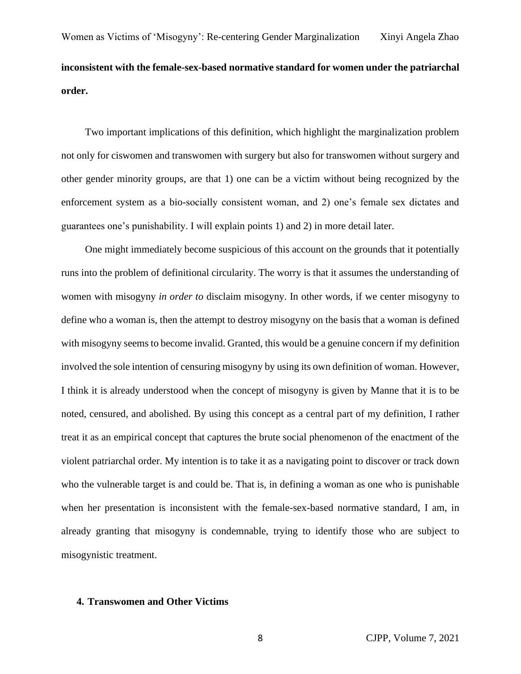Two important implications of this definition, which highlight the marginalization problem not only for ciswomen and transwomen with surgery but also for transwomen without surgery and other gender minority groups, are that 1) one can be a victim without being recognized by the enforcement system as a bio-socially consistent woman, and 2) one's female sex dictates and guarantees one's punishability. I will explain points 1) and 2) in more detail later.

One might immediately become suspicious of this account on the grounds that it potentially runs into the problem of definitional circularity. The worry is that it assumes the understanding of women with misogyny *in order to* disclaim misogyny. In other words, if we center misogyny to define who a woman is, then the attempt to destroy misogyny on the basis that a woman is defined with misogyny seems to become invalid. Granted, this would be a genuine concern if my definition involved the sole intention of censuring misogyny by using its own definition of woman. However, I think it is already understood when the concept of misogyny is given by Manne that it is to be noted, censured, and abolished. By using this concept as a central part of my definition, I rather treat it as an empirical concept that captures the brute social phenomenon of the enactment of the violent patriarchal order. My intention is to take it as a navigating point to discover or track down who the vulnerable target is and could be. That is, in defining a woman as one who is punishable when her presentation is inconsistent with the female-sex-based normative standard, I am, in already granting that misogyny is condemnable, trying to identify those who are subject to misogynistic treatment.

## **4. Transwomen and Other Victims**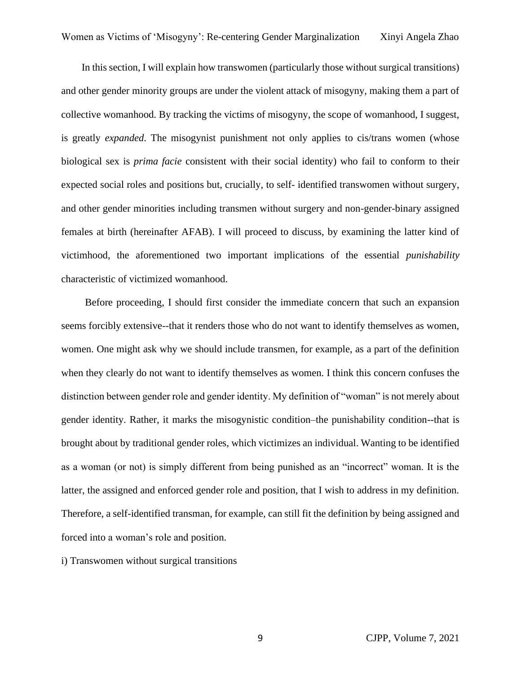In this section, I will explain how transwomen (particularly those without surgical transitions) and other gender minority groups are under the violent attack of misogyny, making them a part of collective womanhood. By tracking the victims of misogyny, the scope of womanhood, I suggest, is greatly *expanded*. The misogynist punishment not only applies to cis/trans women (whose biological sex is *prima facie* consistent with their social identity) who fail to conform to their expected social roles and positions but, crucially, to self- identified transwomen without surgery, and other gender minorities including transmen without surgery and non-gender-binary assigned females at birth (hereinafter AFAB). I will proceed to discuss, by examining the latter kind of victimhood, the aforementioned two important implications of the essential *punishability* characteristic of victimized womanhood.

Before proceeding, I should first consider the immediate concern that such an expansion seems forcibly extensive--that it renders those who do not want to identify themselves as women, women. One might ask why we should include transmen, for example, as a part of the definition when they clearly do not want to identify themselves as women. I think this concern confuses the distinction between gender role and gender identity. My definition of "woman" is not merely about gender identity. Rather, it marks the misogynistic condition–the punishability condition--that is brought about by traditional gender roles, which victimizes an individual. Wanting to be identified as a woman (or not) is simply different from being punished as an "incorrect" woman. It is the latter, the assigned and enforced gender role and position, that I wish to address in my definition. Therefore, a self-identified transman, for example, can still fit the definition by being assigned and forced into a woman's role and position.

i) Transwomen without surgical transitions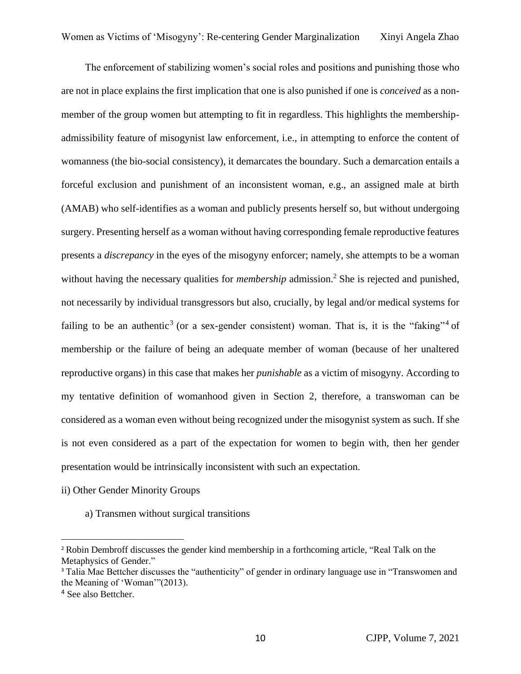The enforcement of stabilizing women's social roles and positions and punishing those who are not in place explains the first implication that one is also punished if one is *conceived* as a nonmember of the group women but attempting to fit in regardless. This highlights the membershipadmissibility feature of misogynist law enforcement, i.e., in attempting to enforce the content of womanness (the bio-social consistency), it demarcates the boundary. Such a demarcation entails a forceful exclusion and punishment of an inconsistent woman, e.g., an assigned male at birth (AMAB) who self-identifies as a woman and publicly presents herself so, but without undergoing surgery. Presenting herself as a woman without having corresponding female reproductive features presents a *discrepancy* in the eyes of the misogyny enforcer; namely, she attempts to be a woman without having the necessary qualities for *membership* admission. <sup>2</sup> She is rejected and punished, not necessarily by individual transgressors but also, crucially, by legal and/or medical systems for failing to be an authentic<sup>3</sup> (or a sex-gender consistent) woman. That is, it is the "faking"<sup>4</sup> of membership or the failure of being an adequate member of woman (because of her unaltered reproductive organs) in this case that makes her *punishable* as a victim of misogyny. According to my tentative definition of womanhood given in Section 2, therefore, a transwoman can be considered as a woman even without being recognized under the misogynist system as such. If she is not even considered as a part of the expectation for women to begin with, then her gender presentation would be intrinsically inconsistent with such an expectation.

- ii) Other Gender Minority Groups
	- a) Transmen without surgical transitions

<sup>2</sup> Robin Dembroff discusses the gender kind membership in a forthcoming article, "Real Talk on the Metaphysics of Gender."

<sup>&</sup>lt;sup>3</sup> Talia Mae Bettcher discusses the "authenticity" of gender in ordinary language use in "Transwomen and the Meaning of 'Woman'"(2013).

<sup>4</sup> See also Bettcher.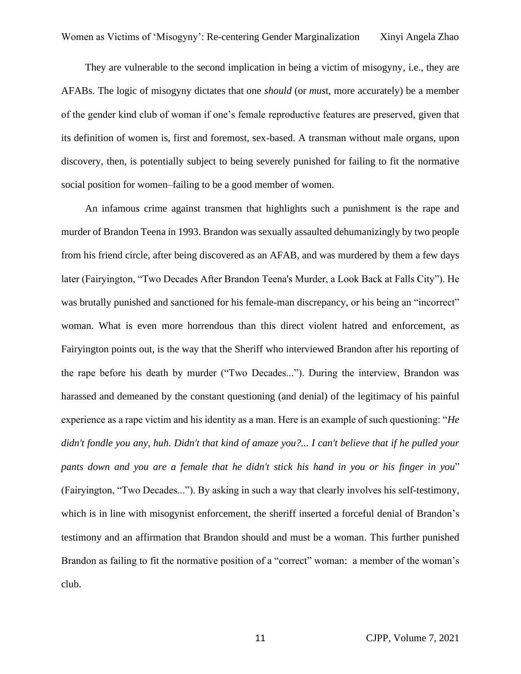They are vulnerable to the second implication in being a victim of misogyny, i.e., they are AFABs. The logic of misogyny dictates that one *should* (or *mus*t, more accurately) be a member of the gender kind club of woman if one's female reproductive features are preserved, given that its definition of women is, first and foremost, sex-based. A transman without male organs, upon discovery, then, is potentially subject to being severely punished for failing to fit the normative social position for women–failing to be a good member of women.

An infamous crime against transmen that highlights such a punishment is the rape and murder of Brandon Teena in 1993. Brandon was sexually assaulted dehumanizingly by two people from his friend circle, after being discovered as an AFAB, and was murdered by them a few days later (Fairyington, "Two Decades After Brandon Teena's Murder, a Look Back at Falls City"). He was brutally punished and sanctioned for his female-man discrepancy, or his being an "incorrect" woman. What is even more horrendous than this direct violent hatred and enforcement, as Fairyington points out, is the way that the Sheriff who interviewed Brandon after his reporting of the rape before his death by murder ("Two Decades..."). During the interview, Brandon was harassed and demeaned by the constant questioning (and denial) of the legitimacy of his painful experience as a rape victim and his identity as a man. Here is an example of such questioning: "*He didn't fondle you any, huh. Didn't that kind of amaze you?... I can't believe that if he pulled your pants down and you are a female that he didn't stick his hand in you or his finger in you*" (Fairyington, "Two Decades..."). By asking in such a way that clearly involves his self-testimony, which is in line with misogynist enforcement, the sheriff inserted a forceful denial of Brandon's testimony and an affirmation that Brandon should and must be a woman. This further punished Brandon as failing to fit the normative position of a "correct" woman: a member of the woman's club.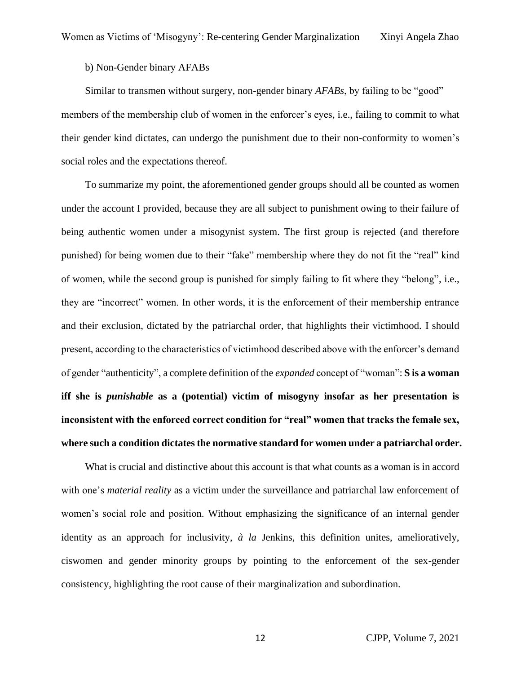b) Non-Gender binary AFABs

Similar to transmen without surgery, non-gender binary *AFABs*, by failing to be "good" members of the membership club of women in the enforcer's eyes, i.e., failing to commit to what their gender kind dictates, can undergo the punishment due to their non-conformity to women's social roles and the expectations thereof.

To summarize my point, the aforementioned gender groups should all be counted as women under the account I provided, because they are all subject to punishment owing to their failure of being authentic women under a misogynist system. The first group is rejected (and therefore punished) for being women due to their "fake" membership where they do not fit the "real" kind of women, while the second group is punished for simply failing to fit where they "belong", i.e., they are "incorrect" women. In other words, it is the enforcement of their membership entrance and their exclusion, dictated by the patriarchal order, that highlights their victimhood. I should present, according to the characteristics of victimhood described above with the enforcer's demand of gender "authenticity", a complete definition of the *expanded* concept of "woman": **S is a woman iff she is** *punishable* **as a (potential) victim of misogyny insofar as her presentation is inconsistent with the enforced correct condition for "real" women that tracks the female sex, where such a condition dictates the normative standard for women under a patriarchal order.**

What is crucial and distinctive about this account is that what counts as a woman is in accord with one's *material reality* as a victim under the surveillance and patriarchal law enforcement of women's social role and position. Without emphasizing the significance of an internal gender identity as an approach for inclusivity, *à la* Jenkins, this definition unites, amelioratively, ciswomen and gender minority groups by pointing to the enforcement of the sex-gender consistency, highlighting the root cause of their marginalization and subordination.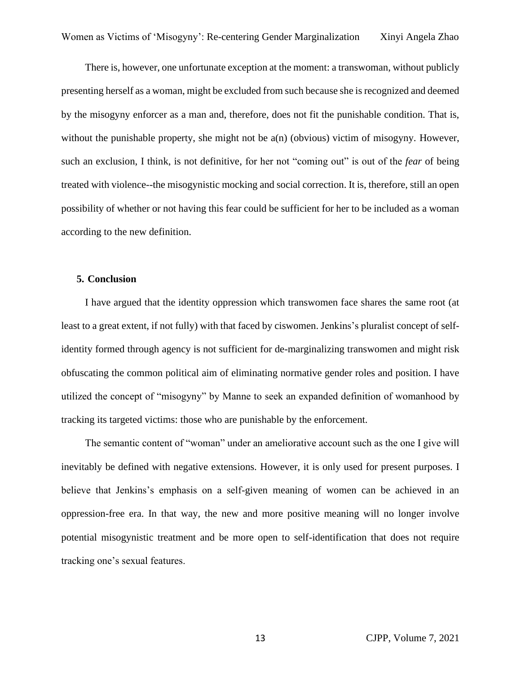There is, however, one unfortunate exception at the moment: a transwoman, without publicly presenting herself as a woman, might be excluded from such because she is recognized and deemed by the misogyny enforcer as a man and, therefore, does not fit the punishable condition. That is, without the punishable property, she might not be a(n) (obvious) victim of misogyny. However, such an exclusion, I think, is not definitive, for her not "coming out" is out of the *fear* of being treated with violence--the misogynistic mocking and social correction. It is, therefore, still an open possibility of whether or not having this fear could be sufficient for her to be included as a woman according to the new definition.

#### **5. Conclusion**

I have argued that the identity oppression which transwomen face shares the same root (at least to a great extent, if not fully) with that faced by ciswomen. Jenkins's pluralist concept of selfidentity formed through agency is not sufficient for de-marginalizing transwomen and might risk obfuscating the common political aim of eliminating normative gender roles and position. I have utilized the concept of "misogyny" by Manne to seek an expanded definition of womanhood by tracking its targeted victims: those who are punishable by the enforcement.

The semantic content of "woman" under an ameliorative account such as the one I give will inevitably be defined with negative extensions. However, it is only used for present purposes. I believe that Jenkins's emphasis on a self-given meaning of women can be achieved in an oppression-free era. In that way, the new and more positive meaning will no longer involve potential misogynistic treatment and be more open to self-identification that does not require tracking one's sexual features.